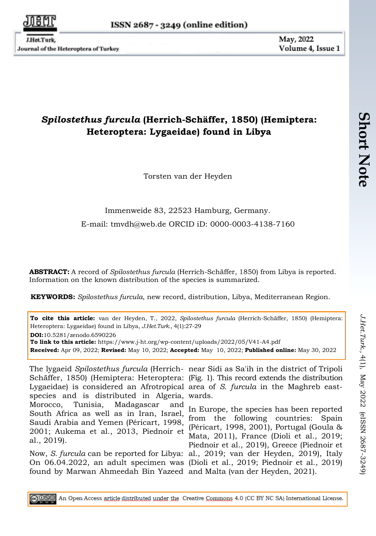Journal of the Heteroptera of Turkey

May, 2022 Volume 4, Issue 1

## *Spilostethus furcula* **(Herrich-Schäffer, 1850) (Hemiptera: Heteroptera: Lygaeidae) found in Libya**

Torsten van der Heyden

## Immenweide 83, 22523 Hamburg, Germany. E-mail: [tmvdh@web.de](mailto:tmvdh@web.de) ORCID iD: 0000-0003-4138-7160

**ABSTRACT:** A record of *Spilostethus furcula* (Herrich-Schäffer, 1850) from Libya is reported. Information on the known distribution of the species is summarized.

**KEYWORDS:** *Spilostethus furcula*, new record, distribution, Libya, Mediterranean Region.

**To cite this article:** van der Heyden, T., 2022, *Spilostethus furcula* (Herrich-Schäffer, 1850) (Hemiptera: Heteroptera: Lygaeidae) found in Libya, *J.Het.Turk.,* 4(1):27-29 **DOI:**10.5281/zenodo.6590226 **To link to this article:** https://www.j-ht.org/wp-content/uploads/2022/05/V41-A4.pdf **Received:** Apr 09, 2022; **Revised:** May 10, 2022; **Accepted:** May 10, 2022; **Published online:** May 30, 2022

Schäffer, 1850) (Hemiptera: Heteroptera: (Fig. 1). This record extends the distribution Lygaeidae) is considered an Afrotropical area of *S. furcula* in the Maghreb eastspecies and is distributed in Algeria, wards. Morocco, Tunisia, Madagascar and South Africa as well as in Iran, Israel, Saudi Arabia and Yemen (Péricart, 1998, 2001; Aukema et al., 2013, Piednoir et al., 2019).

Now, *S. furcula* can be reported for Libya: al., 2019; van der Heyden, 2019), Italy On 06.04.2022, an adult specimen was (Dioli et al., 2019; Piednoir et al., 2019) found by Marwan Ahmeedah Bin Yazeed and Malta (van der Heyden, 2021).

The lygaeid *Spilostethus furcula* (Herrich-near Sidi as Sa'ih in the district of Tripoli

In Europe, the species has been reported from the following countries: Spain (Péricart, 1998, 2001), Portugal (Goula & Mata, 2011), France (Dioli et al., 2019; Piednoir et al., 2019), Greece (Piednoir et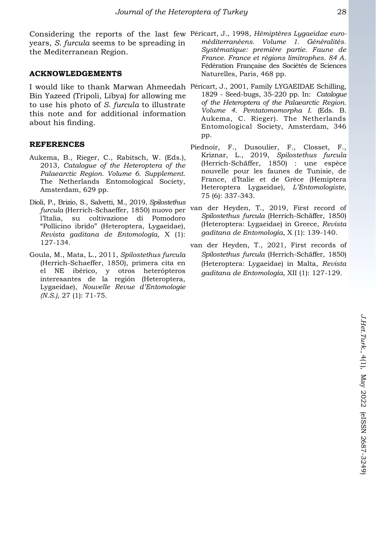Considering the reports of the last few Péricart, J., 1998, *Hémiptères Lygaeidae euro*years, *S. furcula* seems to be spreading in the Mediterranean Region.

## **ACKNOWLEDGEMENTS**

I would like to thank Marwan Ahmeedah Péricart, J., 2001, Family LYGAEIDAE Schilling, Bin Yazeed (Tripoli, Libya) for allowing me to use his photo of *S. furcula* to illustrate this note and for additional information about his finding.

## **REFERENCES**

- Aukema, B., Rieger, C., Rabitsch, W. (Eds.), 2013, *Catalogue of the Heteroptera of the Palaearctic Region. Volume 6. Supplement*. The Netherlands Entomological Society, Amsterdam, 629 pp.
- Dioli, P., Brizio, S., Salvetti, M., 2019, *Spilostethus furcula* (Herrich-Schaeffer, 1850) nuovo per l'Italia, su coltivazione di Pomodoro "Pollicino ibrido" (Heteroptera, Lygaeidae), *Revista gaditana de Entomología*, X (1): 127-134.
- Goula, M., Mata, L., 2011, *Spilostethus furcula*  (Herrich-Schaeffer, 1850), primera cita en el NE ibérico, y otros heterópteros interesantes de la región (Heteroptera, Lygaeidae), *Nouvelle Revue d'Entomologie (N.S.)*, 27 (1): 71-75.
- *méditerranéens. Volume 1. Généralités. Systématique: première partie. Faune de France. France et régions limitrophes. 84 A*. Fédération Française des Sociétés de Sciences Naturelles, Paris, 468 pp.
- 1829 Seed-bugs, 35-220 pp. In: *Catalogue of the Heteroptera of the Palaearctic Region. Volume 4. Pentatomomorpha I*. (Eds. B. Aukema, C. Rieger). The Netherlands Entomological Society, Amsterdam, 346 pp.
- Piednoir, F., Dusoulier, F., Closset, F., Kriznar, L., 2019, *Spilostethus furcula*  (Herrich-Schäffer, 1850) : une espèce nouvelle pour les faunes de Tunisie, de France, d'Italie et de Grèce (Hemiptera Heteroptera Lygaeidae), *L'Entomologiste*, 75 (6): 337-343.
- van der Heyden, T., 2019, First record of *Spilostethus furcula* (Herrich-Schäffer, 1850) (Heteroptera: Lygaeidae) in Greece, *Revista gaditana de Entomología*, X (1): 139-140.
- van der Heyden, T., 2021, First records of *Spilostethus furcula* (Herrich-Schäffer, 1850) (Heteroptera: Lygaeidae) in Malta, *Revista gaditana de Entomología*, XII (1): 127-129.